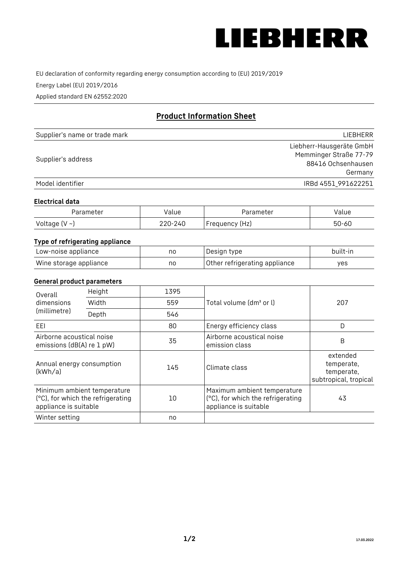

EU declaration of conformity regarding energy consumption according to (EU) 2019/2019

Energy Label (EU) 2019/2016

Applied standard EN 62552:2020

# **Product Information Sheet**

| Supplier's name or trade mark | <b>LIFBHFRR</b>          |
|-------------------------------|--------------------------|
|                               | Liebherr-Hausgeräte GmbH |
| Supplier's address            | Memminger Straße 77-79   |
|                               | 88416 Ochsenhausen       |
|                               | Germany                  |
| Model identifier              | IRBd 4551 991622251      |

#### **Electrical data**

| Parameter          | Value   | Parameter      | alue  |
|--------------------|---------|----------------|-------|
| Voltage $(V \sim)$ | 220-240 | Frequency (Hz) | 50-60 |

# **Type of refrigerating appliance**

| Low-noise appliance    | no | Design type                   | built-in |
|------------------------|----|-------------------------------|----------|
| Wine storage appliance | no | Other refrigerating appliance | yes      |

### **General product parameters**

| Height<br>Overall<br>dimensions<br>Width<br>(millimetre)<br>Depth |                                                                  | 1395 |                                                                                           | 207                                                           |
|-------------------------------------------------------------------|------------------------------------------------------------------|------|-------------------------------------------------------------------------------------------|---------------------------------------------------------------|
|                                                                   |                                                                  | 559  | Total volume (dm <sup>3</sup> or l)                                                       |                                                               |
|                                                                   |                                                                  | 546  |                                                                                           |                                                               |
| EEL                                                               |                                                                  | 80   | Energy efficiency class                                                                   | D                                                             |
| Airborne acoustical noise<br>emissions (dB(A) re 1 pW)            |                                                                  | 35   | Airborne acoustical noise<br>emission class                                               | B                                                             |
| Annual energy consumption<br>(kWh/a)                              |                                                                  | 145  | Climate class                                                                             | extended<br>temperate,<br>temperate,<br>subtropical, tropical |
| appliance is suitable                                             | Minimum ambient temperature<br>(°C), for which the refrigerating | 10   | Maximum ambient temperature<br>(°C), for which the refrigerating<br>appliance is suitable | 43                                                            |
| Winter setting                                                    |                                                                  | no   |                                                                                           |                                                               |